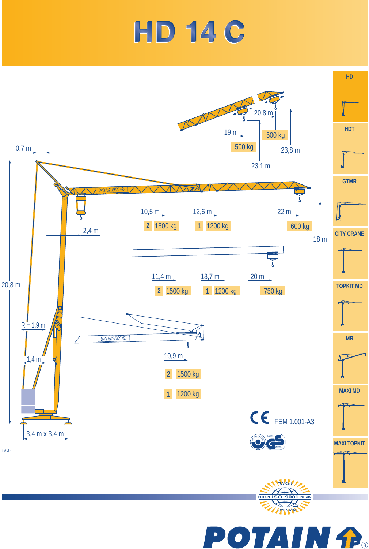## **HD 14 C**

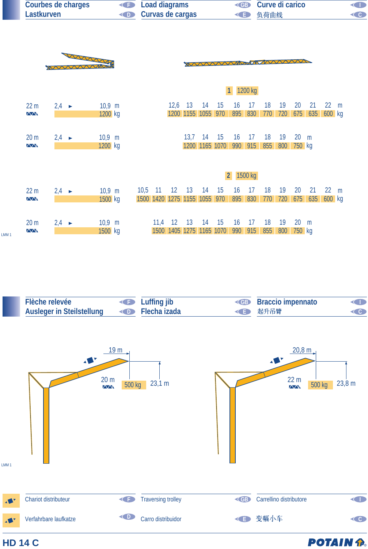| Courbes de charges | <b>Example 2</b> Load diagrams | <b>CIP</b> Curve di carico |                    |
|--------------------|--------------------------------|----------------------------|--------------------|
| Lastkurven         | <b>Curvas de cargas</b>        | ◆ 负荷曲线                     | $\left( 0 \right)$ |
|                    |                                |                            |                    |



LMM 1

|                                        |                   |          |                              |                 |      |                |           |                |           | 1200 kg |     |     |        |     |        |   |
|----------------------------------------|-------------------|----------|------------------------------|-----------------|------|----------------|-----------|----------------|-----------|---------|-----|-----|--------|-----|--------|---|
| 22 <sub>m</sub>                        | $2.4 \rightarrow$ | $10,9$ m |                              |                 | 12,6 | 13             | -14       | 15             | 16        | 17      | 18  | 19  | 20     | 21  | 22     | m |
| $\sqrt{N}$                             |                   | 1200 kg  |                              |                 |      | 1200 1155 1055 |           | 970            | 895       | 830     | 770 | 720 | 675    | 635 | 600 kg |   |
|                                        |                   |          |                              |                 |      |                |           |                |           |         |     |     |        |     |        |   |
| 20 <sub>m</sub>                        | $2.4 \rightarrow$ | $10.9$ m |                              |                 |      | 13,7           | 14        | 15             | 16        | 17      | 18  | 19  | 20     | m   |        |   |
| $\Delta \Delta$                        |                   | 1200 kg  |                              |                 |      |                |           | 1200 1165 1070 | 990       | 915     | 855 | 800 | 750 kg |     |        |   |
|                                        |                   |          |                              |                 |      |                |           |                |           |         |     |     |        |     |        |   |
|                                        |                   |          |                              |                 |      |                |           |                |           |         |     |     |        |     |        |   |
|                                        |                   |          |                              |                 |      |                |           |                |           |         |     |     |        |     |        |   |
|                                        |                   |          |                              |                 |      |                |           |                | 2 1500 kg |         |     |     |        |     |        |   |
| 22 <sub>m</sub>                        | $2,4 \rightarrow$ | $10,9$ m | 10.5                         | $\overline{11}$ | 12   | 13             | <b>14</b> | 15             | 16        | 17      | 18  | 19  | 20     | 21  | 22     | m |
| $\overline{\triangle\triangle\Lambda}$ |                   | 1500 kg  | 1500 1420 1275 1155 1055 970 |                 |      |                |           |                | 895       | 830     | 770 | 720 | 675    | 635 | 600 kg |   |
|                                        |                   |          |                              |                 |      |                |           |                |           |         |     |     |        |     |        |   |
| 20 <sub>m</sub>                        | $2.4 \rightarrow$ | $10,9$ m |                              | 11,4            | 12   | 13             | 14        | 15             | 16        | 17      | 18  | 19  | 20     | m   |        |   |

| Flèche relevée                                   | <b>I</b> Luffing jib | <b>Example 3 Braccio impennato</b> | O |
|--------------------------------------------------|----------------------|------------------------------------|---|
| Ausleger in Steilstellung <b>CO</b> Flecha izada |                      | <e th="" 起升吊臂<=""><th></th></e>    |   |

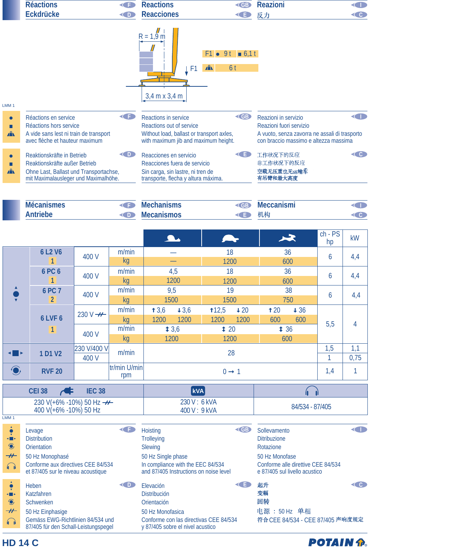|                                                                                         | <b>Réactions</b>                                                                                                                                   | G<br><b>Eckdrücke</b><br>O   |                            |                                                                                                                                              | <b>KGB</b><br><b>KED</b>                                                                                                                                                     | <b>Reazioni</b>                                                                                                                                |                 | O<br>$\left( 0 \right)$ |
|-----------------------------------------------------------------------------------------|----------------------------------------------------------------------------------------------------------------------------------------------------|------------------------------|----------------------------|----------------------------------------------------------------------------------------------------------------------------------------------|------------------------------------------------------------------------------------------------------------------------------------------------------------------------------|------------------------------------------------------------------------------------------------------------------------------------------------|-----------------|-------------------------|
| LMM <sub>1</sub>                                                                        |                                                                                                                                                    |                              |                            | <b>Reacciones</b><br>$R = 1.9 m$<br>F <sub>1</sub><br>$3,4$ m x $3,4$ m                                                                      | $F1 \bullet 9t = 6,11$<br>$\mathbf{A}$<br>6 <sup>t</sup>                                                                                                                     | 反力                                                                                                                                             |                 |                         |
| $\bullet$<br>П<br>$\mathbf{A}$                                                          | G<br>Réactions en service<br>Réactions hors service<br>A vide sans lest ni train de transport<br>avec flèche et hauteur maximum                    |                              |                            | <b>Reactions in service</b><br>Reactions out of service<br>Without load, ballast or transport axles,<br>with maximum jib and maximum height. | <b>EB</b>                                                                                                                                                                    | O<br>Reazioni in servizio<br>Reazioni fuori servizio<br>A vuoto, senza zavorra ne assali di trasporto<br>con braccio massimo e altezza massima |                 |                         |
| П<br>$\mathbf{A}$                                                                       | O<br>Reaktionskräfte in Betrieb<br>Reaktionskräfte außer Betrieb<br>Ohne Last, Ballast und Transportachse,<br>mit Maximalausleger und Maximalhöhe. |                              |                            | Reacciones en servicio<br>Reacciones fuera de servicio<br>Sin carga, sin lastre, ni tren de<br>transporte, flecha y altura máxima.           | G                                                                                                                                                                            | 工作状况下的反应<br>非工作状况下的反应<br>空载无压重也无运输车<br>有吊臂和最大高度                                                                                                |                 | $\left( 0 \right)$      |
|                                                                                         | <b>Mécanismes</b><br>G<br><b>Antriebe</b><br>O                                                                                                     |                              |                            | <b>Mechanisms</b><br><b>Mecanismos</b>                                                                                                       | <gb<br><b>KE</b></gb<br>                                                                                                                                                     | <b>Meccanismi</b><br>机构                                                                                                                        |                 | O<br>$\left($ C         |
|                                                                                         |                                                                                                                                                    |                              |                            |                                                                                                                                              |                                                                                                                                                                              | $\blacktriangleright$                                                                                                                          | $ch - PS$<br>hp | kW                      |
|                                                                                         | 6 L <sub>2</sub> V <sub>6</sub><br>1                                                                                                               | 400 V                        | m/min<br>kg                |                                                                                                                                              | 18<br>1200                                                                                                                                                                   | 36<br>600                                                                                                                                      | 6               | 4,4                     |
|                                                                                         | <b>6 PC 6</b><br>1                                                                                                                                 | 400 V                        | m/min<br>kg                | 4,5<br>1200                                                                                                                                  | 18<br>1200                                                                                                                                                                   | 36<br>600                                                                                                                                      | 6               | 4,4                     |
|                                                                                         | 6 PC 7<br>$\overline{2}$                                                                                                                           | 400 V                        | m/min<br>kg                | 9,5<br>1500                                                                                                                                  | 19<br>1500                                                                                                                                                                   | 38<br>750                                                                                                                                      | 6               | 4,4                     |
|                                                                                         | 6 LVF 6<br>1                                                                                                                                       | 230 V $\rightarrow$<br>400 V | m/min<br>kg<br>m/min<br>kg | 13,6<br>43,6<br>1200<br>1200<br>13,6<br>1200                                                                                                 | 112,5<br>$+20$<br>1200<br>1200<br>$\textbf{\texttt{t}}$ 20<br>1200                                                                                                           | t20<br>$+36$<br>600<br>600<br>136<br>600                                                                                                       | 5,5             | $\overline{4}$          |
| ╶║┝                                                                                     | 1 D1 V2                                                                                                                                            | 230 V/400 V<br>400 V         | m/min                      |                                                                                                                                              | 28                                                                                                                                                                           |                                                                                                                                                | 1,5<br>1        | 1,1<br>0,75             |
| $\ddot{ }$                                                                              | <b>RVF 20</b>                                                                                                                                      |                              | tr/min U/min<br>rpm        |                                                                                                                                              | $0 \rightarrow 1$                                                                                                                                                            |                                                                                                                                                | 1,4             | 1                       |
|                                                                                         | <b>CEI 38</b><br>$\blacktriangleleft$                                                                                                              | <b>IEC 38</b>                |                            | kVA                                                                                                                                          |                                                                                                                                                                              | 4                                                                                                                                              |                 |                         |
|                                                                                         | 230 V(+6% -10%) 50 Hz ---<br>400 V(+6% -10%) 50 Hz                                                                                                 |                              |                            | 230 V: 6 kVA<br>400 V: 9 kVA                                                                                                                 |                                                                                                                                                                              | 84/534 - 87/405                                                                                                                                |                 |                         |
| LMM <sub>1</sub><br>$\hat{\bullet}$<br>$\blacksquare$<br>$\bigodot$<br>$+$<br>$\bigcap$ | Levage<br><b>Distribution</b><br>Orientation<br>50 Hz Monophasé<br>Conforme aux directives CEE 84/534                                              |                              | G                          | Hoisting<br><b>Trolleying</b><br>Slewing<br>50 Hz Single phase<br>In compliance with the EEC 84/534                                          | <gb< td=""><td>Sollevamento<br/><b>Ditribuzione</b><br/>Rotazione<br/>50 Hz Monofase<br/>Conforme alle direttive CEE 84/534</td><td></td><td><math>\bullet</math></td></gb<> | Sollevamento<br><b>Ditribuzione</b><br>Rotazione<br>50 Hz Monofase<br>Conforme alle direttive CEE 84/534                                       |                 | $\bullet$               |

et 87/405 sur le niveau acoustique and 87/405 Instructions on noise level e 87/405 sul livello acustico Heben **D Elevación C E** 起升 **C C** 变幅 Katzfahren Distribución Schwenken Orientación 回转 50 Hz Monofasica 电源: 50 Hz 单相 50 Hz Einphasige Gemäss EWG-Richtlinien 84/534 und Conforme con las directivas CEE 84/534 符合 CEE 84/534 - CEE 87/405 声响度规定 87/405 für den Schall-Leistungspegel y 87/405 sobre el nivel acustico

**HD 14 C**

 $\begin{array}{c} \Phi \\ \Psi \\ \Phi \end{array}$ 

 $\bigodot$ 

 $\overline{\boldsymbol{\mathcal{H}}}$  $\bigcap\limits_{i=1}^n\mathbb{Z}_p$